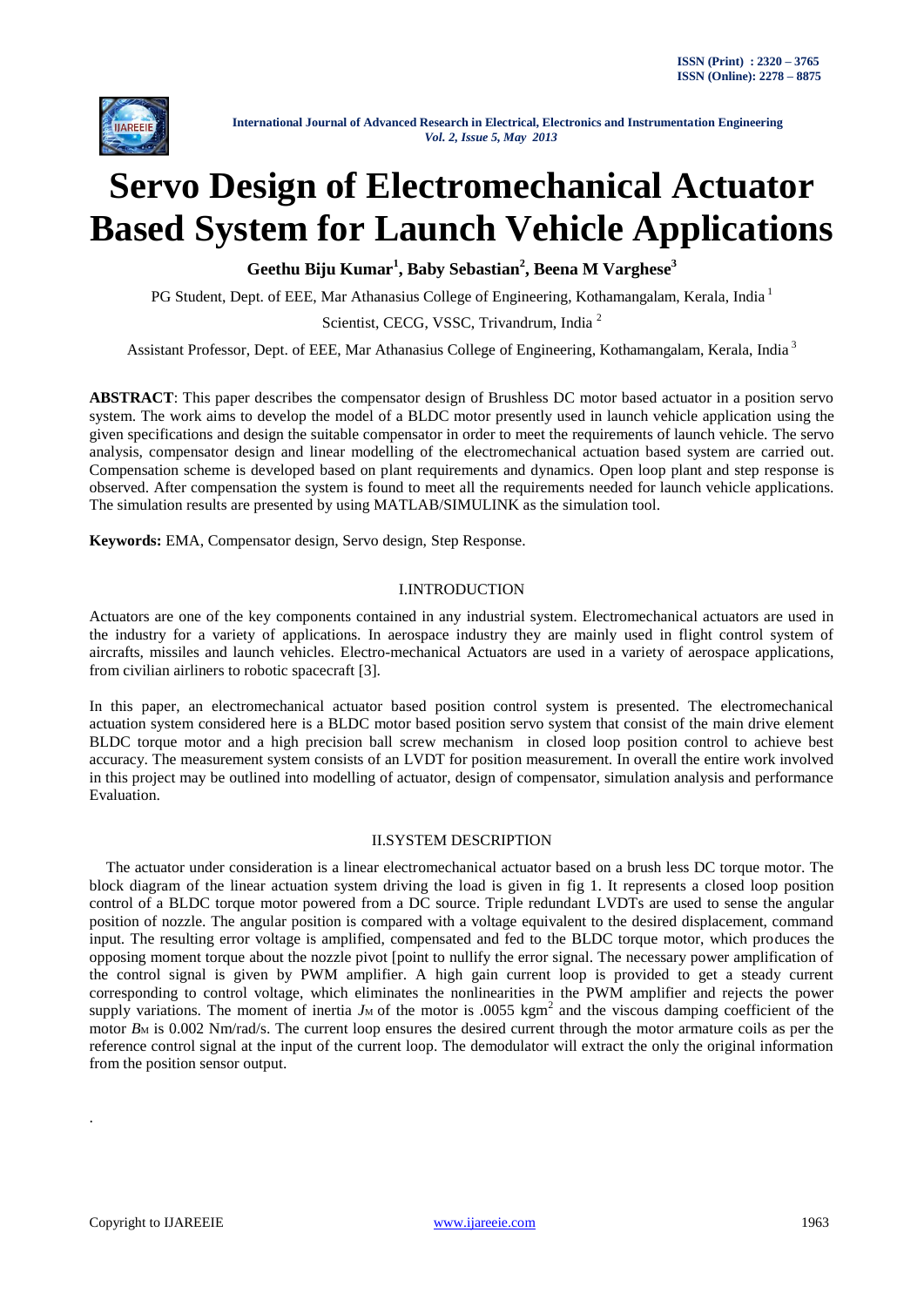

# **Servo Design of Electromechanical Actuator Based System for Launch Vehicle Applications**

**Geethu Biju Kumar<sup>1</sup> , Baby Sebastian<sup>2</sup> , Beena M Varghese<sup>3</sup>**

PG Student, Dept. of EEE, Mar Athanasius College of Engineering, Kothamangalam, Kerala, India<sup>1</sup>

Scientist, CECG, VSSC, Trivandrum, India<sup>2</sup>

Assistant Professor, Dept. of EEE, Mar Athanasius College of Engineering, Kothamangalam, Kerala, India <sup>3</sup>

**ABSTRACT**: This paper describes the compensator design of Brushless DC motor based actuator in a position servo system. The work aims to develop the model of a BLDC motor presently used in launch vehicle application using the given specifications and design the suitable compensator in order to meet the requirements of launch vehicle. The servo analysis, compensator design and linear modelling of the electromechanical actuation based system are carried out. Compensation scheme is developed based on plant requirements and dynamics. Open loop plant and step response is observed. After compensation the system is found to meet all the requirements needed for launch vehicle applications. The simulation results are presented by using MATLAB/SIMULINK as the simulation tool.

**Keywords:** EMA, Compensator design, Servo design, Step Response.

### I.INTRODUCTION

Actuators are one of the key components contained in any industrial system. Electromechanical actuators are used in the industry for a variety of applications. In aerospace industry they are mainly used in flight control system of aircrafts, missiles and launch vehicles. Electro-mechanical Actuators are used in a variety of aerospace applications, from civilian airliners to robotic spacecraft [3].

In this paper, an electromechanical actuator based position control system is presented. The electromechanical actuation system considered here is a BLDC motor based position servo system that consist of the main drive element BLDC torque motor and a high precision ball screw mechanism in closed loop position control to achieve best accuracy. The measurement system consists of an LVDT for position measurement. In overall the entire work involved in this project may be outlined into modelling of actuator, design of compensator, simulation analysis and performance Evaluation.

#### II.SYSTEM DESCRIPTION

The actuator under consideration is a linear electromechanical actuator based on a brush less DC torque motor. The block diagram of the linear actuation system driving the load is given in fig 1. It represents a closed loop position control of a BLDC torque motor powered from a DC source. Triple redundant LVDTs are used to sense the angular position of nozzle. The angular position is compared with a voltage equivalent to the desired displacement, command input. The resulting error voltage is amplified, compensated and fed to the BLDC torque motor, which produces the opposing moment torque about the nozzle pivot [point to nullify the error signal. The necessary power amplification of the control signal is given by PWM amplifier. A high gain current loop is provided to get a steady current corresponding to control voltage, which eliminates the nonlinearities in the PWM amplifier and rejects the power supply variations. The moment of inertia  $J_M$  of the motor is .0055 kgm<sup>2</sup> and the viscous damping coefficient of the motor *B*<sub>M</sub> is 0.002 Nm/rad/s. The current loop ensures the desired current through the motor armature coils as per the reference control signal at the input of the current loop. The demodulator will extract the only the original information from the position sensor output.

.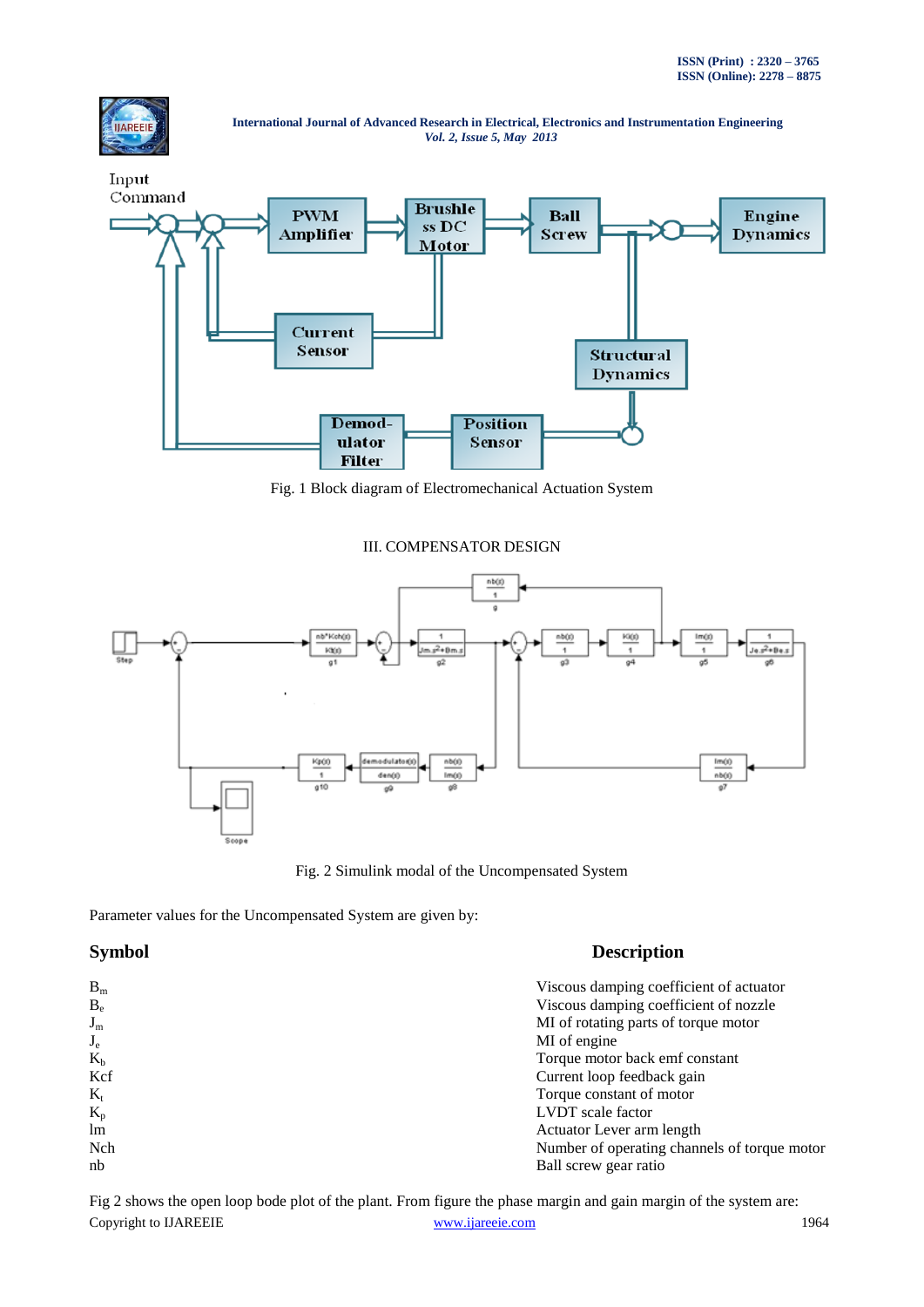



Fig. 1 Block diagram of Electromechanical Actuation System

# III. COMPENSATOR DESIGN



Fig. 2 Simulink modal of the Uncompensated System

Parameter values for the Uncompensated System are given by:

# **Symbol Description**

| $B_m$   | Viscous damping coefficient of actuator      |
|---------|----------------------------------------------|
| $B_e$   | Viscous damping coefficient of nozzle        |
| $J_{m}$ | MI of rotating parts of torque motor         |
| $J_e$   | MI of engine                                 |
| $K_h$   | Torque motor back emf constant               |
| Kcf     | Current loop feedback gain                   |
| $K_t$   | Torque constant of motor                     |
| $K_{p}$ | <b>LVDT</b> scale factor                     |
| lm      | Actuator Lever arm length                    |
| Nch     | Number of operating channels of torque motor |
| nb      | Ball screw gear ratio                        |

Copyright to IJAREEIE [www.ijareeie.com](http://www.ijareeie.com/) 1964 Fig 2 shows the open loop bode plot of the plant. From figure the phase margin and gain margin of the system are: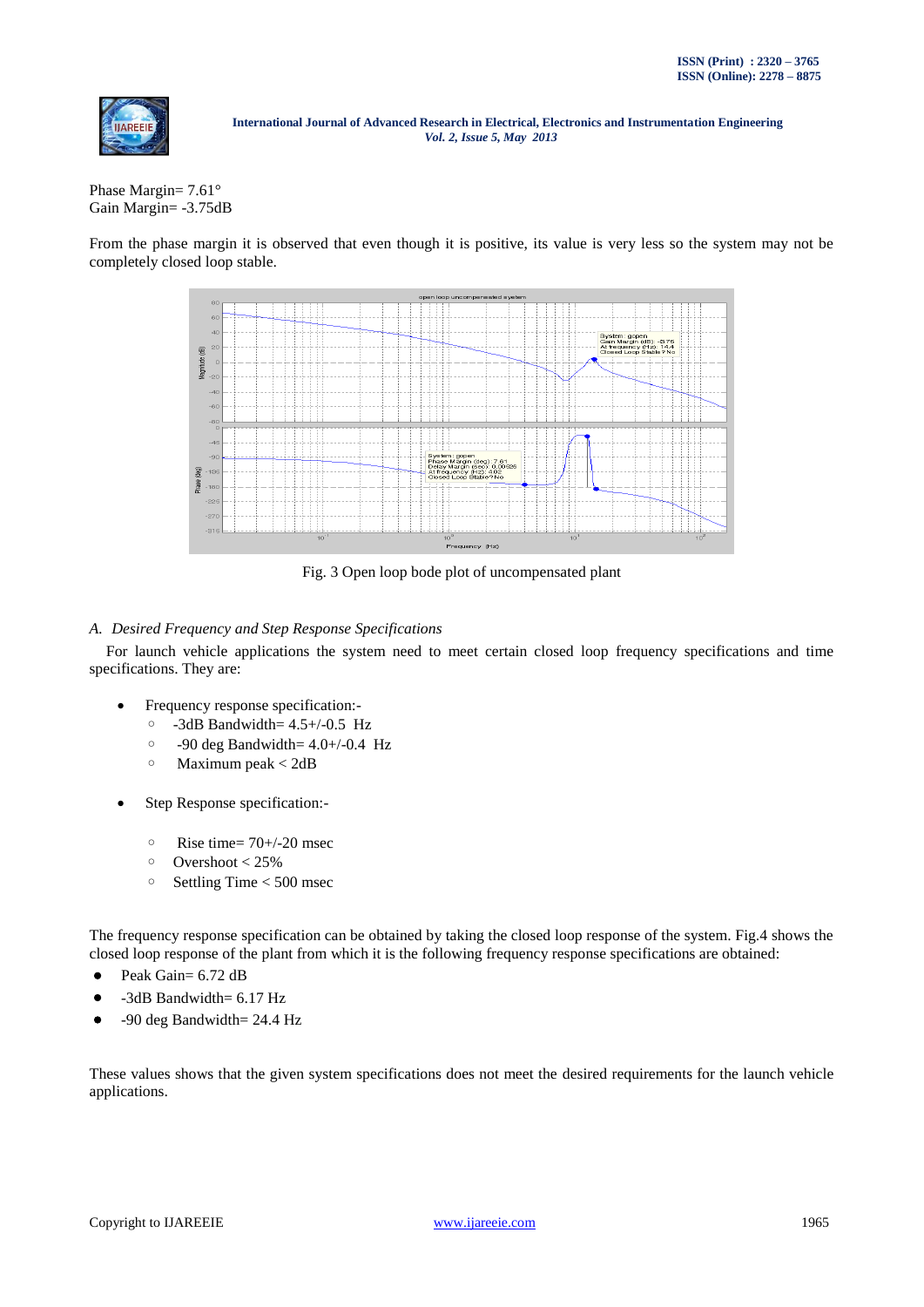

Phase Margin= 7.61° Gain Margin= -3.75dB

From the phase margin it is observed that even though it is positive, its value is very less so the system may not be completely closed loop stable.



Fig. 3 Open loop bode plot of uncompensated plant

# *A. Desired Frequency and Step Response Specifications*

For launch vehicle applications the system need to meet certain closed loop frequency specifications and time specifications. They are:

- Frequency response specification:-
	- -3dB Bandwidth= 4.5+/-0.5 Hz
	- $\degree$  -90 deg Bandwidth= 4.0+/-0.4 Hz
	- Maximum peak < 2dB
- Step Response specification:-
	- $\degree$  Rise time= 70+/-20 msec
	- Overshoot < 25%
	- Settling Time < 500 msec

The frequency response specification can be obtained by taking the closed loop response of the system. Fig.4 shows the closed loop response of the plant from which it is the following frequency response specifications are obtained:

- Peak Gain= 6.72 dB
- -3dB Bandwidth= 6.17 Hz
- -90 deg Bandwidth= 24.4 Hz

These values shows that the given system specifications does not meet the desired requirements for the launch vehicle applications.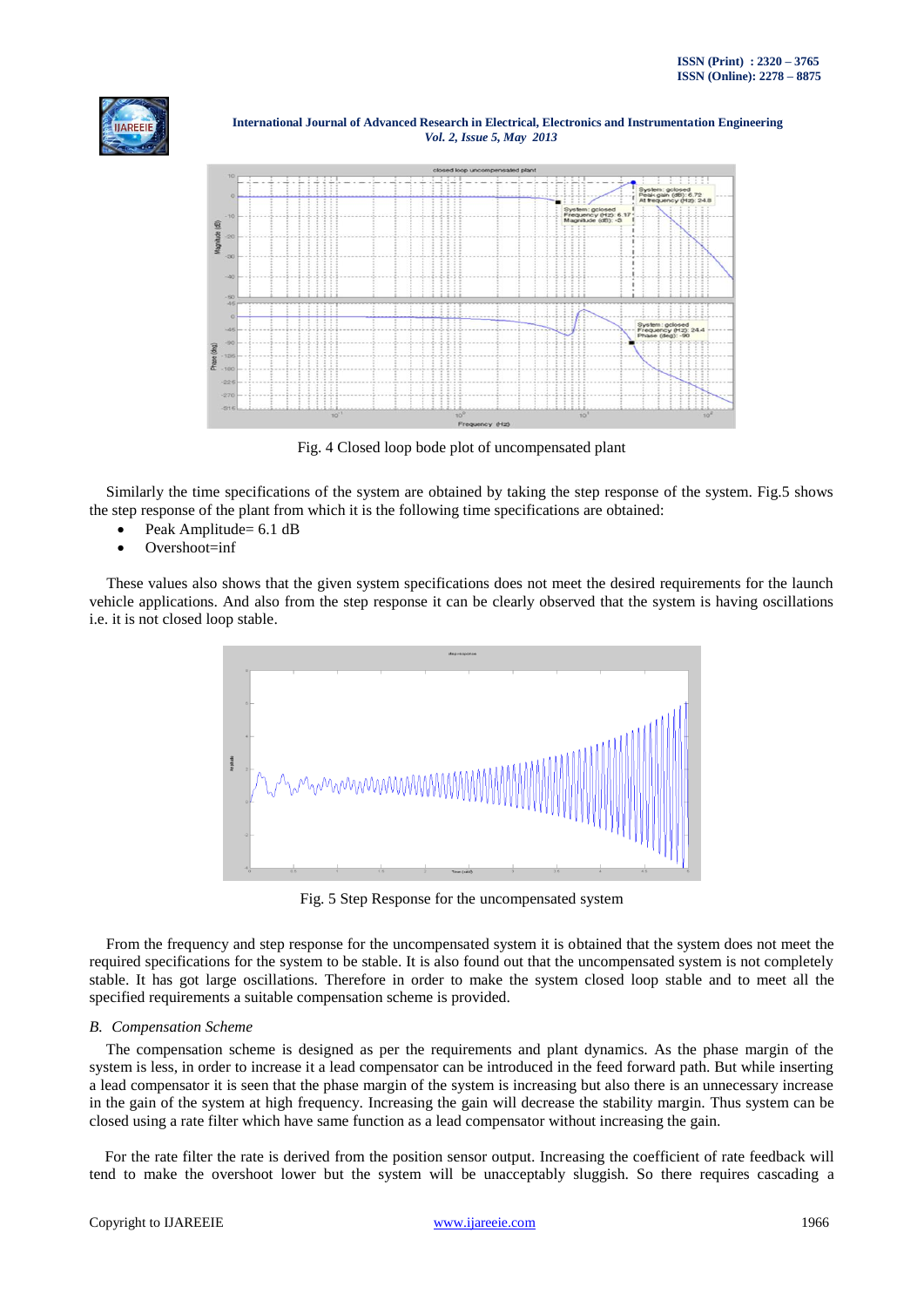



Fig. 4 Closed loop bode plot of uncompensated plant

Similarly the time specifications of the system are obtained by taking the step response of the system. Fig.5 shows the step response of the plant from which it is the following time specifications are obtained:

- Peak Amplitude= 6.1 dB
- Overshoot=inf

 These values also shows that the given system specifications does not meet the desired requirements for the launch vehicle applications. And also from the step response it can be clearly observed that the system is having oscillations i.e. it is not closed loop stable.



Fig. 5 Step Response for the uncompensated system

From the frequency and step response for the uncompensated system it is obtained that the system does not meet the required specifications for the system to be stable. It is also found out that the uncompensated system is not completely stable. It has got large oscillations. Therefore in order to make the system closed loop stable and to meet all the specified requirements a suitable compensation scheme is provided.

#### *B. Compensation Scheme*

The compensation scheme is designed as per the requirements and plant dynamics. As the phase margin of the system is less, in order to increase it a lead compensator can be introduced in the feed forward path. But while inserting a lead compensator it is seen that the phase margin of the system is increasing but also there is an unnecessary increase in the gain of the system at high frequency. Increasing the gain will decrease the stability margin. Thus system can be closed using a rate filter which have same function as a lead compensator without increasing the gain.

 For the rate filter the rate is derived from the position sensor output. Increasing the coefficient of rate feedback will tend to make the overshoot lower but the system will be unacceptably sluggish. So there requires cascading a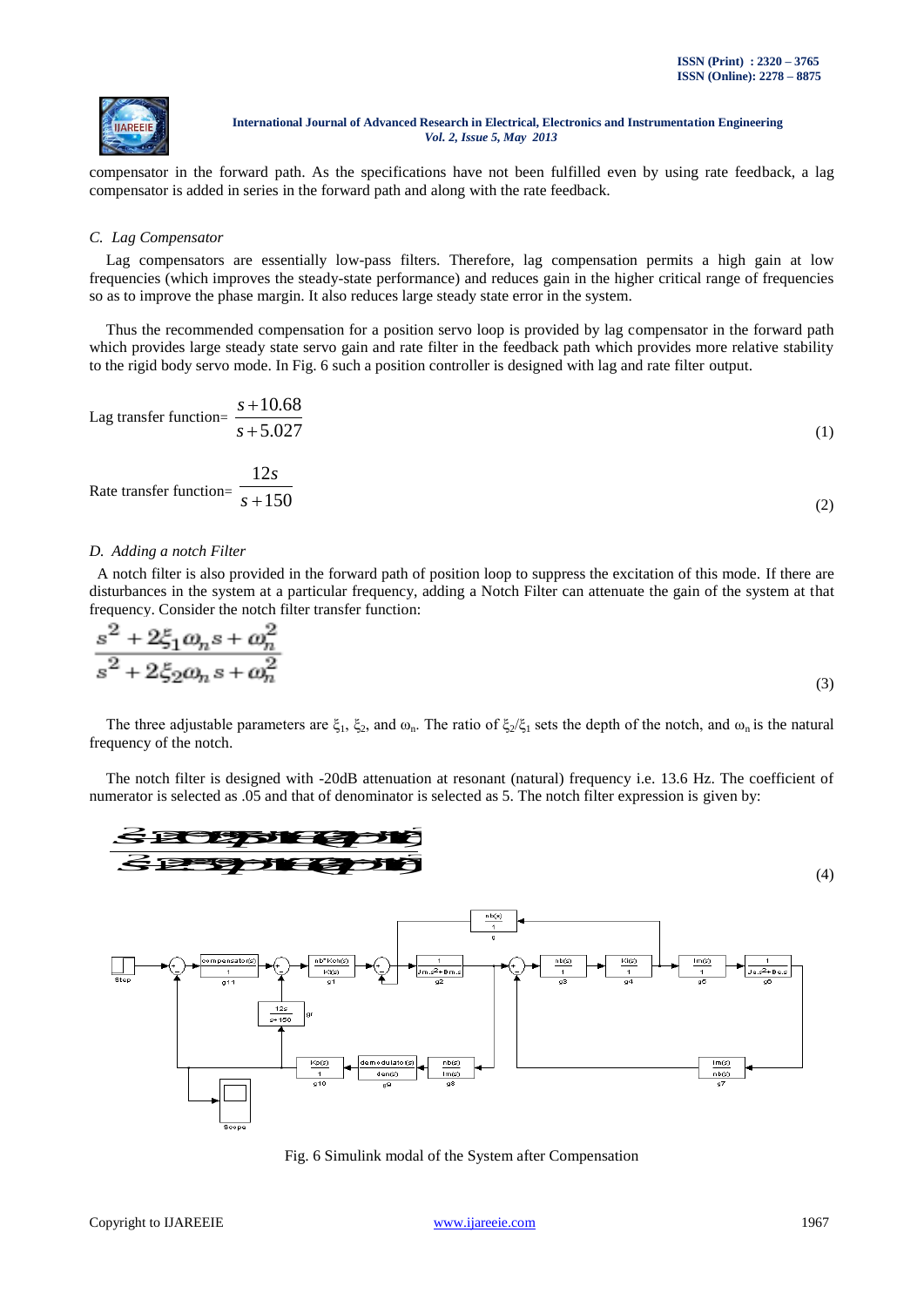

compensator in the forward path. As the specifications have not been fulfilled even by using rate feedback, a lag compensator is added in series in the forward path and along with the rate feedback.

#### *C. Lag Compensator*

Lag compensators are essentially low-pass filters. Therefore, lag compensation permits a high gain at low frequencies (which improves the steady-state performance) and reduces gain in the higher critical range of frequencies so as to improve the phase margin. It also reduces large steady state error in the system.

Thus the recommended compensation for a position servo loop is provided by lag compensator in the forward path which provides large steady state servo gain and rate filter in the feedback path which provides more relative stability to the rigid body servo mode. In Fig. 6 such a position controller is designed with lag and rate filter output.

Lag transfer function
$$
= \frac{s + 10.68}{s + 5.027}
$$
 (1)

Rate transfer function=
$$
\frac{12s}{s+150}
$$
 (2)

#### *D. Adding a notch Filter*

 A notch filter is also provided in the forward path of position loop to suppress the excitation of this mode. If there are disturbances in the system at a particular frequency, adding a Notch Filter can attenuate the gain of the system at that frequency. Consider the notch filter transfer function:

$$
\frac{s^2 + 2\xi_1 \omega_n s + \omega_n^2}{s^2 + 2\xi_2 \omega_n s + \omega_n^2}
$$
\n(3)

The three adjustable parameters are  $\xi_1$ ,  $\xi_2$ , and  $\omega_n$ . The ratio of  $\xi_2/\xi_1$  sets the depth of the notch, and  $\omega_n$  is the natural frequency of the notch.



Fig. 6 Simulink modal of the System after Compensation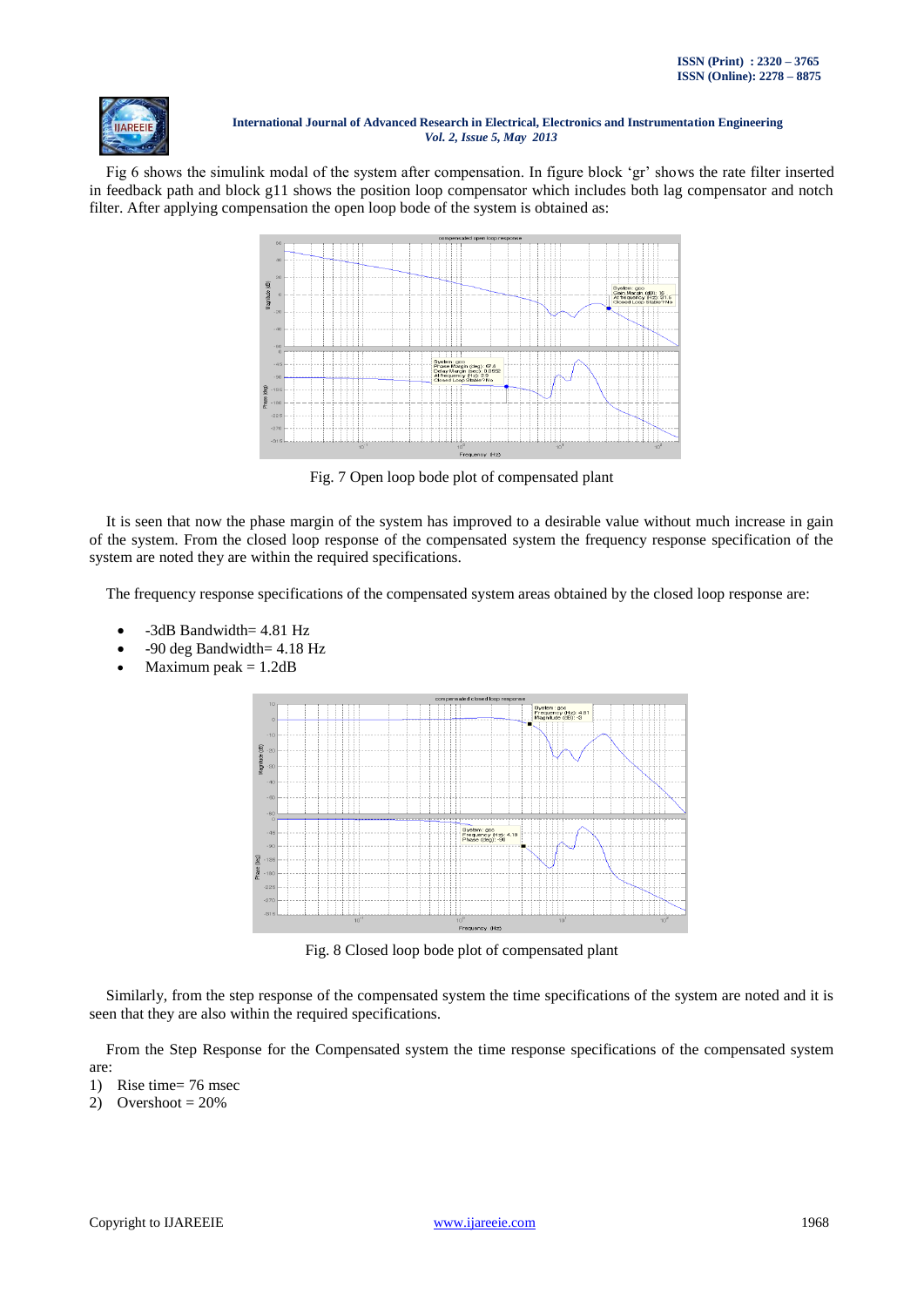

Fig 6 shows the simulink modal of the system after compensation. In figure block "gr" shows the rate filter inserted in feedback path and block g11 shows the position loop compensator which includes both lag compensator and notch filter. After applying compensation the open loop bode of the system is obtained as:



Fig. 7 Open loop bode plot of compensated plant

It is seen that now the phase margin of the system has improved to a desirable value without much increase in gain of the system. From the closed loop response of the compensated system the frequency response specification of the system are noted they are within the required specifications.

The frequency response specifications of the compensated system areas obtained by the closed loop response are:

- -3dB Bandwidth= 4.81 Hz
- -90 deg Bandwidth= 4.18 Hz
- Maximum peak  $= 1.2dB$



Fig. 8 Closed loop bode plot of compensated plant

Similarly, from the step response of the compensated system the time specifications of the system are noted and it is seen that they are also within the required specifications.

From the Step Response for the Compensated system the time response specifications of the compensated system are:

- 1) Rise time= 76 msec
- 2) Overshoot =  $20\%$